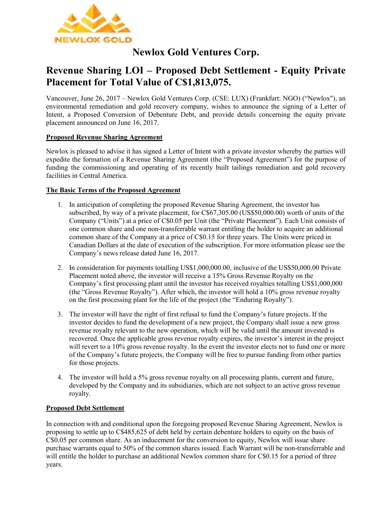

# **Newlox Gold Ventures Corp.**

# **Revenue Sharing LOI – Proposed Debt Settlement - Equity Private Placement for Total Value of C\$1,813,075.**

Vancouver, June 26, 2017 – Newlox Gold Ventures Corp. (CSE: LUX) (Frankfurt: NGO) ("Newlox"), an environmental remediation and gold recovery company, wishes to announce the signing of a Letter of Intent, a Proposed Conversion of Debenture Debt, and provide details concerning the equity private placement announced on June 16, 2017.

### **Proposed Revenue Sharing Agreement**

Newlox is pleased to advise it has signed a Letter of Intent with a private investor whereby the parties will expedite the formation of a Revenue Sharing Agreement (the "Proposed Agreement") for the purpose of funding the commissioning and operating of its recently built tailings remediation and gold recovery facilities in Central America.

#### **The Basic Terms of the Proposed Agreement**

- 1. In anticipation of completing the proposed Revenue Sharing Agreement, the investor has subscribed, by way of a private placement, for C\$67,305.00 (US\$50,000.00) worth of units of the Company ("Units") at a price of C\$0.05 per Unit (the "Private Placement"). Each Unit consists of one common share and one non-transferrable warrant entitling the holder to acquire an additional common share of the Company at a price of C\$0.15 for three years. The Units were priced in Canadian Dollars at the date of execution of the subscription. For more information please see the Company's news release dated June 16, 2017.
- 2. In consideration for payments totalling US\$1,000,000.00, inclusive of the US\$50,000.00 Private Placement noted above, the investor will receive a 15% Gross Revenue Royalty on the Company's first processing plant until the investor has received royalties totalling US\$1,000,000 (the "Gross Revenue Royalty"). After which, the investor will hold a 10% gross revenue royalty on the first processing plant for the life of the project (the "Enduring Royalty").
- 3. The investor will have the right of first refusal to fund the Company's future projects. If the investor decides to fund the development of a new project, the Company shall issue a new gross revenue royalty relevant to the new operation, which will be valid until the amount invested is recovered. Once the applicable gross revenue royalty expires, the investor's interest in the project will revert to a 10% gross revenue royalty. In the event the investor elects not to fund one or more of the Company's future projects, the Company will be free to pursue funding from other parties for those projects.
- 4. The investor will hold a 5% gross revenue royalty on all processing plants, current and future, developed by the Company and its subsidiaries, which are not subject to an active gross revenue royalty.

#### **Proposed Debt Settlement**

In connection with and conditional upon the foregoing proposed Revenue Sharing Agreement, Newlox is proposing to settle up to C\$485,625 of debt held by certain debenture holders to equity on the basis of C\$0.05 per common share. As an inducement for the conversion to equity, Newlox will issue share purchase warrants equal to 50% of the common shares issued. Each Warrant will be non-transferrable and will entitle the holder to purchase an additional Newlox common share for C\$0.15 for a period of three years.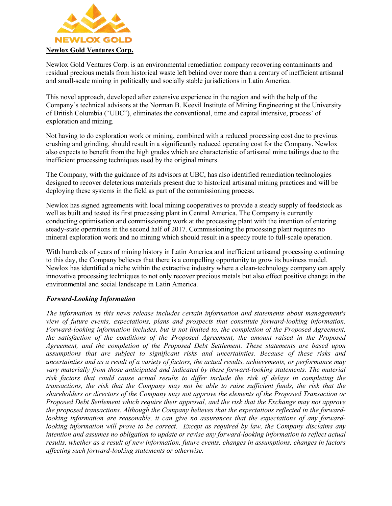

Newlox Gold Ventures Corp. is an environmental remediation company recovering contaminants and residual precious metals from historical waste left behind over more than a century of inefficient artisanal and small-scale mining in politically and socially stable jurisdictions in Latin America.

This novel approach, developed after extensive experience in the region and with the help of the Company's technical advisors at the Norman B. Keevil Institute of Mining Engineering at the University of British Columbia ("UBC"), eliminates the conventional, time and capital intensive, process' of exploration and mining.

Not having to do exploration work or mining, combined with a reduced processing cost due to previous crushing and grinding, should result in a significantly reduced operating cost for the Company. Newlox also expects to benefit from the high grades which are characteristic of artisanal mine tailings due to the inefficient processing techniques used by the original miners.

The Company, with the guidance of its advisors at UBC, has also identified remediation technologies designed to recover deleterious materials present due to historical artisanal mining practices and will be deploying these systems in the field as part of the commissioning process.

Newlox has signed agreements with local mining cooperatives to provide a steady supply of feedstock as well as built and tested its first processing plant in Central America. The Company is currently conducting optimisation and commissioning work at the processing plant with the intention of entering steady-state operations in the second half of 2017. Commissioning the processing plant requires no mineral exploration work and no mining which should result in a speedy route to full-scale operation.

With hundreds of years of mining history in Latin America and inefficient artisanal processing continuing to this day, the Company believes that there is a compelling opportunity to grow its business model. Newlox has identified a niche within the extractive industry where a clean-technology company can apply innovative processing techniques to not only recover precious metals but also effect positive change in the environmental and social landscape in Latin America.

#### *Forward-Looking Information*

*The information in this news release includes certain information and statements about management's view of future events, expectations, plans and prospects that constitute forward-looking information. Forward-looking information includes, but is not limited to, the completion of the Proposed Agreement, the satisfaction of the conditions of the Proposed Agreement, the amount raised in the Proposed Agreement, and the completion of the Proposed Debt Settlement. These statements are based upon assumptions that are subject to significant risks and uncertainties. Because of these risks and uncertainties and as a result of a variety of factors, the actual results, achievements, or performance may vary materially from those anticipated and indicated by these forward-looking statements. The material risk factors that could cause actual results to differ include the risk of delays in completing the transactions, the risk that the Company may not be able to raise sufficient funds, the risk that the shareholders or directors of the Company may not approve the elements of the Proposed Transaction or Proposed Debt Settlement which require their approval, and the risk that the Exchange may not approve the proposed transactions. Although the Company believes that the expectations reflected in the forwardlooking information are reasonable, it can give no assurances that the expectations of any forwardlooking information will prove to be correct. Except as required by law, the Company disclaims any intention and assumes no obligation to update or revise any forward-looking information to reflect actual results, whether as a result of new information, future events, changes in assumptions, changes in factors affecting such forward-looking statements or otherwise.*